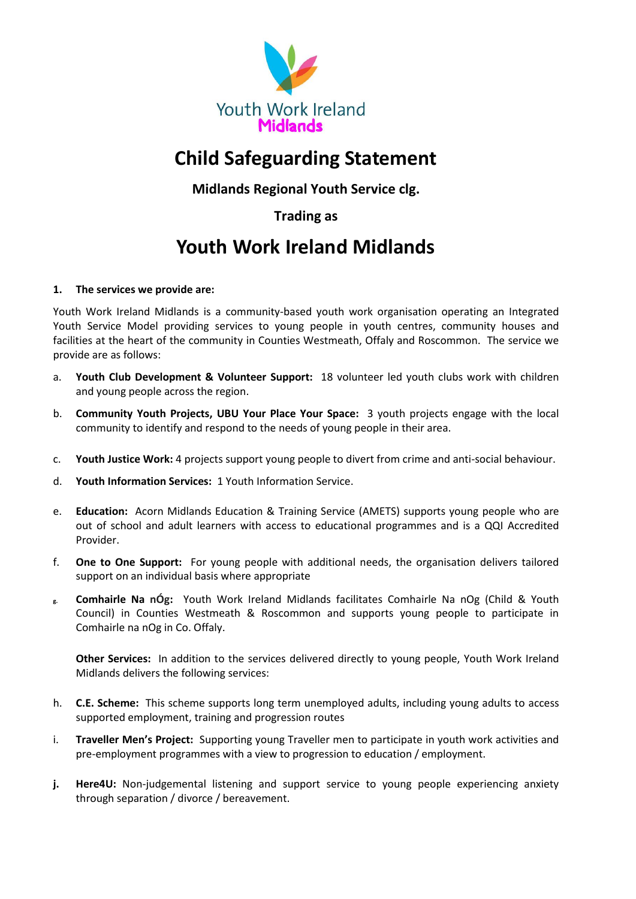

# **Child Safeguarding Statement**

**Midlands Regional Youth Service clg.** 

**Trading as**

## **Youth Work Ireland Midlands**

## **1. The services we provide are:**

Youth Work Ireland Midlands is a community-based youth work organisation operating an Integrated Youth Service Model providing services to young people in youth centres, community houses and facilities at the heart of the community in Counties Westmeath, Offaly and Roscommon. The service we provide are as follows:

- a. **Youth Club Development & Volunteer Support:** 18 volunteer led youth clubs work with children and young people across the region.
- b. **Community Youth Projects, UBU Your Place Your Space:** 3 youth projects engage with the local community to identify and respond to the needs of young people in their area.
- c. **Youth Justice Work:** 4 projects support young people to divert from crime and anti-social behaviour.
- d. **Youth Information Services:** 1 Youth Information Service.
- e. **Education:** Acorn Midlands Education & Training Service (AMETS) supports young people who are out of school and adult learners with access to educational programmes and is a QQI Accredited Provider.
- f. **One to One Support:** For young people with additional needs, the organisation delivers tailored support on an individual basis where appropriate
- **g. Comhairle Na nÓg:** Youth Work Ireland Midlands facilitates Comhairle Na nOg (Child & Youth Council) in Counties Westmeath & Roscommon and supports young people to participate in Comhairle na nOg in Co. Offaly.

**Other Services:** In addition to the services delivered directly to young people, Youth Work Ireland Midlands delivers the following services:

- h. **C.E. Scheme:** This scheme supports long term unemployed adults, including young adults to access supported employment, training and progression routes
- i. **Traveller Men's Project:** Supporting young Traveller men to participate in youth work activities and pre-employment programmes with a view to progression to education / employment.
- **j. Here4U:** Non-judgemental listening and support service to young people experiencing anxiety through separation / divorce / bereavement.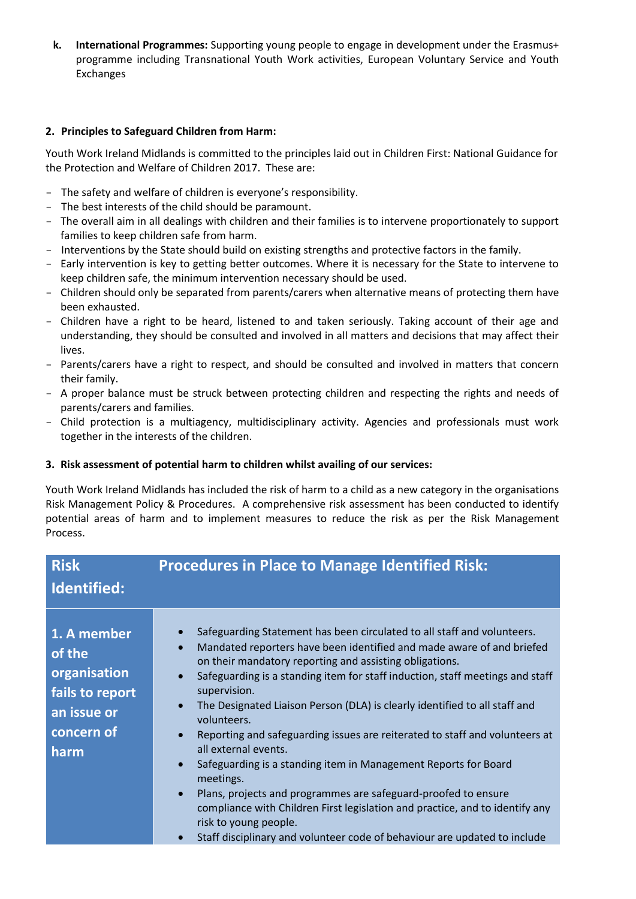**k. International Programmes:** Supporting young people to engage in development under the Erasmus+ programme including Transnational Youth Work activities, European Voluntary Service and Youth Exchanges

### **2. Principles to Safeguard Children from Harm:**

Youth Work Ireland Midlands is committed to the principles laid out in Children First: National Guidance for the Protection and Welfare of Children 2017. These are:

- The safety and welfare of children is everyone's responsibility.
- The best interests of the child should be paramount.
- The overall aim in all dealings with children and their families is to intervene proportionately to support families to keep children safe from harm.
- Interventions by the State should build on existing strengths and protective factors in the family.
- Early intervention is key to getting better outcomes. Where it is necessary for the State to intervene to keep children safe, the minimum intervention necessary should be used.
- Children should only be separated from parents/carers when alternative means of protecting them have been exhausted.
- Children have a right to be heard, listened to and taken seriously. Taking account of their age and understanding, they should be consulted and involved in all matters and decisions that may affect their lives.
- Parents/carers have a right to respect, and should be consulted and involved in matters that concern their family.
- A proper balance must be struck between protecting children and respecting the rights and needs of parents/carers and families.
- Child protection is a multiagency, multidisciplinary activity. Agencies and professionals must work together in the interests of the children.

#### **3. Risk assessment of potential harm to children whilst availing of our services:**

Youth Work Ireland Midlands has included the risk of harm to a child as a new category in the organisations Risk Management Policy & Procedures. A comprehensive risk assessment has been conducted to identify potential areas of harm and to implement measures to reduce the risk as per the Risk Management Process.

| <b>Risk</b><br>Identified:                                                                    | <b>Procedures in Place to Manage Identified Risk:</b>                                                                                                                                                                                                                                                                                                                                                                                                                                                                                                                                                                                                                                                                                                                                                                                                                                                                                                            |
|-----------------------------------------------------------------------------------------------|------------------------------------------------------------------------------------------------------------------------------------------------------------------------------------------------------------------------------------------------------------------------------------------------------------------------------------------------------------------------------------------------------------------------------------------------------------------------------------------------------------------------------------------------------------------------------------------------------------------------------------------------------------------------------------------------------------------------------------------------------------------------------------------------------------------------------------------------------------------------------------------------------------------------------------------------------------------|
| 1. A member<br>of the<br>organisation<br>fails to report<br>an issue or<br>concern of<br>harm | Safeguarding Statement has been circulated to all staff and volunteers.<br>$\bullet$<br>Mandated reporters have been identified and made aware of and briefed<br>$\bullet$<br>on their mandatory reporting and assisting obligations.<br>Safeguarding is a standing item for staff induction, staff meetings and staff<br>$\bullet$<br>supervision.<br>The Designated Liaison Person (DLA) is clearly identified to all staff and<br>$\bullet$<br>volunteers.<br>Reporting and safeguarding issues are reiterated to staff and volunteers at<br>$\bullet$<br>all external events.<br>Safeguarding is a standing item in Management Reports for Board<br>$\bullet$<br>meetings.<br>Plans, projects and programmes are safeguard-proofed to ensure<br>$\bullet$<br>compliance with Children First legislation and practice, and to identify any<br>risk to young people.<br>Staff disciplinary and volunteer code of behaviour are updated to include<br>$\bullet$ |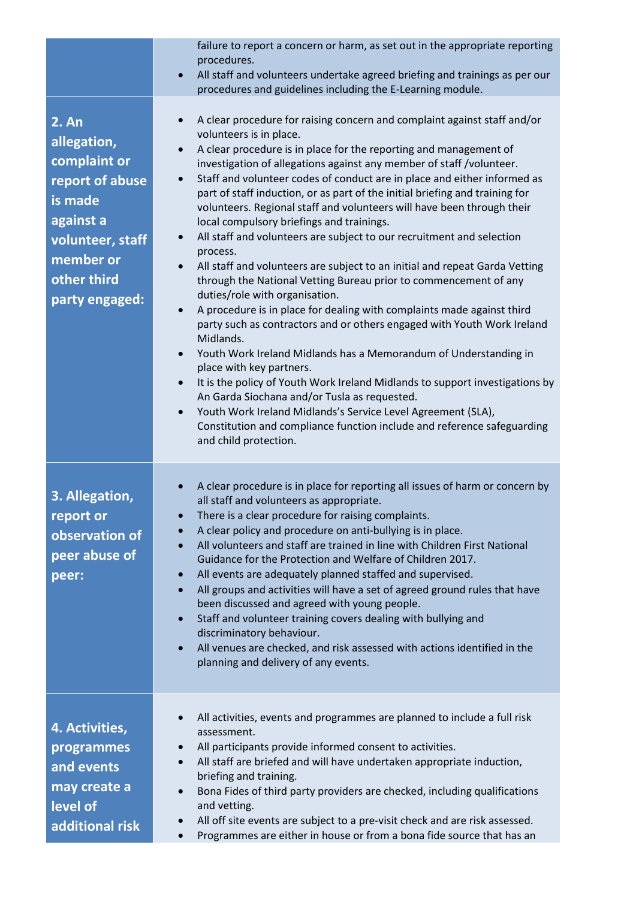|                                                                                                                                                          | failure to report a concern or harm, as set out in the appropriate reporting<br>procedures.<br>All staff and volunteers undertake agreed briefing and trainings as per our<br>$\bullet$<br>procedures and guidelines including the E-Learning module.                                                                                                                                                                                                                                                                                                                                                                                                                                                                                                                                                                                                                                                                                                                                                                                                                                                                                                                                                                                                                                                                                                                                                                                                                                                    |
|----------------------------------------------------------------------------------------------------------------------------------------------------------|----------------------------------------------------------------------------------------------------------------------------------------------------------------------------------------------------------------------------------------------------------------------------------------------------------------------------------------------------------------------------------------------------------------------------------------------------------------------------------------------------------------------------------------------------------------------------------------------------------------------------------------------------------------------------------------------------------------------------------------------------------------------------------------------------------------------------------------------------------------------------------------------------------------------------------------------------------------------------------------------------------------------------------------------------------------------------------------------------------------------------------------------------------------------------------------------------------------------------------------------------------------------------------------------------------------------------------------------------------------------------------------------------------------------------------------------------------------------------------------------------------|
| <b>2. An</b><br>allegation,<br>complaint or<br>report of abuse<br>is made<br>against a<br>volunteer, staff<br>member or<br>other third<br>party engaged: | A clear procedure for raising concern and complaint against staff and/or<br>$\bullet$<br>volunteers is in place.<br>A clear procedure is in place for the reporting and management of<br>$\bullet$<br>investigation of allegations against any member of staff /volunteer.<br>Staff and volunteer codes of conduct are in place and either informed as<br>$\bullet$<br>part of staff induction, or as part of the initial briefing and training for<br>volunteers. Regional staff and volunteers will have been through their<br>local compulsory briefings and trainings.<br>All staff and volunteers are subject to our recruitment and selection<br>$\bullet$<br>process.<br>All staff and volunteers are subject to an initial and repeat Garda Vetting<br>$\bullet$<br>through the National Vetting Bureau prior to commencement of any<br>duties/role with organisation.<br>A procedure is in place for dealing with complaints made against third<br>$\bullet$<br>party such as contractors and or others engaged with Youth Work Ireland<br>Midlands.<br>Youth Work Ireland Midlands has a Memorandum of Understanding in<br>$\bullet$<br>place with key partners.<br>It is the policy of Youth Work Ireland Midlands to support investigations by<br>$\bullet$<br>An Garda Siochana and/or Tusla as requested.<br>Youth Work Ireland Midlands's Service Level Agreement (SLA),<br>$\bullet$<br>Constitution and compliance function include and reference safeguarding<br>and child protection. |
| 3. Allegation,<br>report or<br>observation of<br>peer abuse of<br>peer:                                                                                  | A clear procedure is in place for reporting all issues of harm or concern by<br>all staff and volunteers as appropriate.<br>There is a clear procedure for raising complaints.<br>A clear policy and procedure on anti-bullying is in place.<br>$\bullet$<br>All volunteers and staff are trained in line with Children First National<br>Guidance for the Protection and Welfare of Children 2017.<br>All events are adequately planned staffed and supervised.<br>$\bullet$<br>All groups and activities will have a set of agreed ground rules that have<br>$\bullet$<br>been discussed and agreed with young people.<br>Staff and volunteer training covers dealing with bullying and<br>$\bullet$<br>discriminatory behaviour.<br>All venues are checked, and risk assessed with actions identified in the<br>$\bullet$<br>planning and delivery of any events.                                                                                                                                                                                                                                                                                                                                                                                                                                                                                                                                                                                                                                     |
| 4. Activities,<br>programmes<br>and events<br>may create a<br>level of<br>additional risk                                                                | All activities, events and programmes are planned to include a full risk<br>$\bullet$<br>assessment.<br>All participants provide informed consent to activities.<br>$\bullet$<br>All staff are briefed and will have undertaken appropriate induction,<br>$\bullet$<br>briefing and training.<br>Bona Fides of third party providers are checked, including qualifications<br>$\bullet$<br>and vetting.<br>All off site events are subject to a pre-visit check and are risk assessed.<br>Programmes are either in house or from a bona fide source that has an                                                                                                                                                                                                                                                                                                                                                                                                                                                                                                                                                                                                                                                                                                                                                                                                                                                                                                                                          |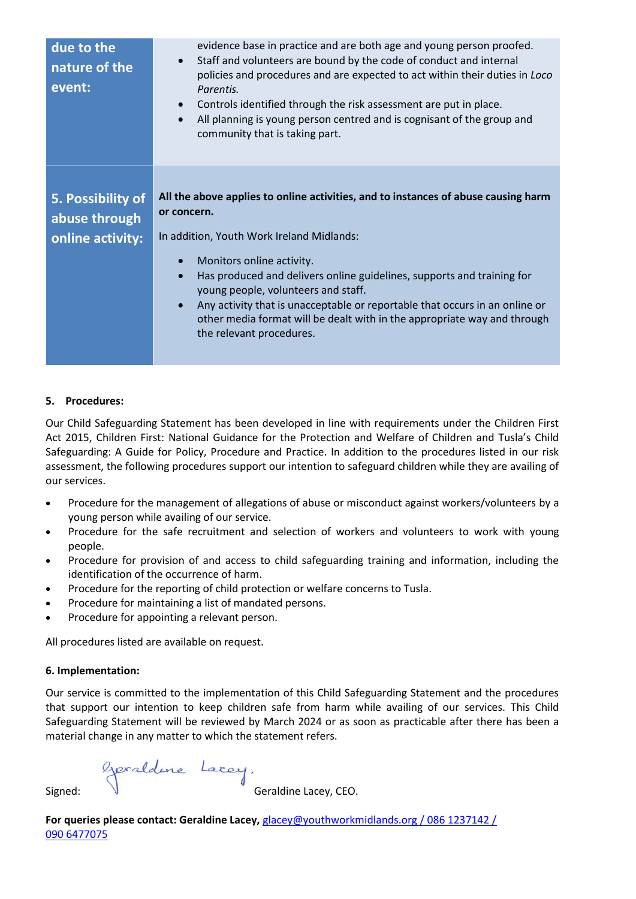| due to the<br>nature of the<br>event: | evidence base in practice and are both age and young person proofed.<br>Staff and volunteers are bound by the code of conduct and internal<br>$\bullet$<br>policies and procedures and are expected to act within their duties in Loco<br>Parentis.<br>Controls identified through the risk assessment are put in place.<br>$\bullet$<br>All planning is young person centred and is cognisant of the group and<br>$\bullet$<br>community that is taking part. |
|---------------------------------------|----------------------------------------------------------------------------------------------------------------------------------------------------------------------------------------------------------------------------------------------------------------------------------------------------------------------------------------------------------------------------------------------------------------------------------------------------------------|
| 5. Possibility of<br>abuse through    | All the above applies to online activities, and to instances of abuse causing harm<br>or concern.                                                                                                                                                                                                                                                                                                                                                              |
| online activity:                      | In addition, Youth Work Ireland Midlands:<br>Monitors online activity.<br>Has produced and delivers online guidelines, supports and training for<br>young people, volunteers and staff.<br>Any activity that is unacceptable or reportable that occurs in an online or<br>$\bullet$<br>other media format will be dealt with in the appropriate way and through<br>the relevant procedures.                                                                    |

### **5. Procedures:**

Our Child Safeguarding Statement has been developed in line with requirements under the Children First Act 2015, Children First: National Guidance for the Protection and Welfare of Children and Tusla's Child Safeguarding: A Guide for Policy, Procedure and Practice. In addition to the procedures listed in our risk assessment, the following procedures support our intention to safeguard children while they are availing of our services.

- Procedure for the management of allegations of abuse or misconduct against workers/volunteers by a young person while availing of our service.
- Procedure for the safe recruitment and selection of workers and volunteers to work with young people.
- Procedure for provision of and access to child safeguarding training and information, including the identification of the occurrence of harm.
- Procedure for the reporting of child protection or welfare concerns to Tusla.
- Procedure for maintaining a list of mandated persons.
- Procedure for appointing a relevant person.

All procedures listed are available on request.

#### **6. Implementation:**

Our service is committed to the implementation of this Child Safeguarding Statement and the procedures that support our intention to keep children safe from harm while availing of our services. This Child Safeguarding Statement will be reviewed by March 2024 or as soon as practicable after there has been a material change in any matter to which the statement refers.

Signed: Geraldine Lacey, CEO.

**For queries please contact: Geraldine Lacey,** [glacey@youthworkmidlands.org](mailto:glacey@youthworkmidlands.org) / 086 1237142 / 090 6477075